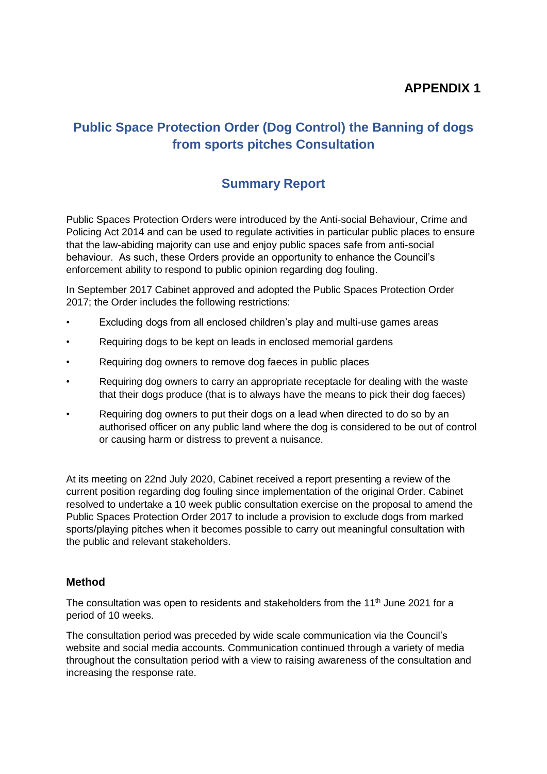## **APPENDIX 1**

# **Public Space Protection Order (Dog Control) the Banning of dogs from sports pitches Consultation**

### **Summary Report**

Public Spaces Protection Orders were introduced by the Anti-social Behaviour, Crime and Policing Act 2014 and can be used to regulate activities in particular public places to ensure that the law-abiding majority can use and enjoy public spaces safe from anti-social behaviour. As such, these Orders provide an opportunity to enhance the Council's enforcement ability to respond to public opinion regarding dog fouling.

In September 2017 Cabinet approved and adopted the Public Spaces Protection Order 2017; the Order includes the following restrictions:

- Excluding dogs from all enclosed children's play and multi-use games areas
- Requiring dogs to be kept on leads in enclosed memorial gardens
- Requiring dog owners to remove dog faeces in public places
- Requiring dog owners to carry an appropriate receptacle for dealing with the waste that their dogs produce (that is to always have the means to pick their dog faeces)
- Requiring dog owners to put their dogs on a lead when directed to do so by an authorised officer on any public land where the dog is considered to be out of control or causing harm or distress to prevent a nuisance.

At its meeting on 22nd July 2020, Cabinet received a report presenting a review of the current position regarding dog fouling since implementation of the original Order. Cabinet resolved to undertake a 10 week public consultation exercise on the proposal to amend the Public Spaces Protection Order 2017 to include a provision to exclude dogs from marked sports/playing pitches when it becomes possible to carry out meaningful consultation with the public and relevant stakeholders.

#### **Method**

The consultation was open to residents and stakeholders from the 11<sup>th</sup> June 2021 for a period of 10 weeks.

The consultation period was preceded by wide scale communication via the Council's website and social media accounts. Communication continued through a variety of media throughout the consultation period with a view to raising awareness of the consultation and increasing the response rate.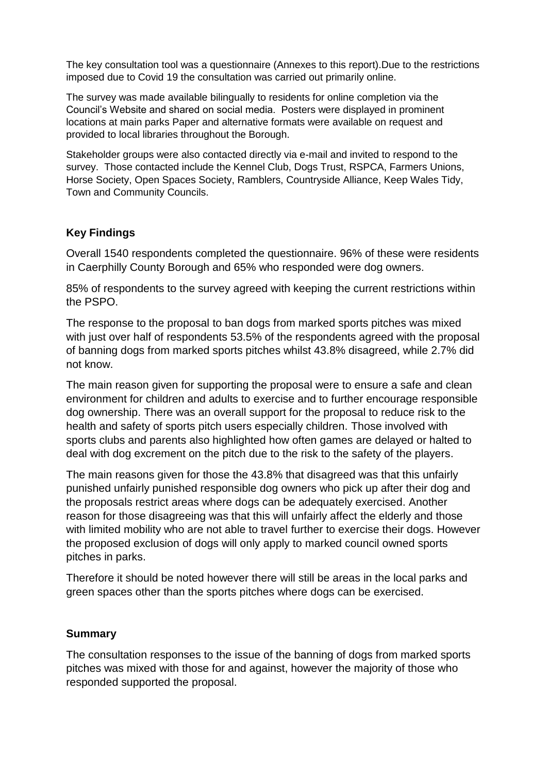The key consultation tool was a questionnaire (Annexes to this report).Due to the restrictions imposed due to Covid 19 the consultation was carried out primarily online.

The survey was made available bilingually to residents for online completion via the Council's Website and shared on social media. Posters were displayed in prominent locations at main parks Paper and alternative formats were available on request and provided to local libraries throughout the Borough.

Stakeholder groups were also contacted directly via e-mail and invited to respond to the survey. Those contacted include the Kennel Club, Dogs Trust, RSPCA, Farmers Unions, Horse Society, Open Spaces Society, Ramblers, Countryside Alliance, Keep Wales Tidy, Town and Community Councils.

### **Key Findings**

Overall 1540 respondents completed the questionnaire. 96% of these were residents in Caerphilly County Borough and 65% who responded were dog owners.

85% of respondents to the survey agreed with keeping the current restrictions within the PSPO.

The response to the proposal to ban dogs from marked sports pitches was mixed with just over half of respondents 53.5% of the respondents agreed with the proposal of banning dogs from marked sports pitches whilst 43.8% disagreed, while 2.7% did not know.

The main reason given for supporting the proposal were to ensure a safe and clean environment for children and adults to exercise and to further encourage responsible dog ownership. There was an overall support for the proposal to reduce risk to the health and safety of sports pitch users especially children. Those involved with sports clubs and parents also highlighted how often games are delayed or halted to deal with dog excrement on the pitch due to the risk to the safety of the players.

The main reasons given for those the 43.8% that disagreed was that this unfairly punished unfairly punished responsible dog owners who pick up after their dog and the proposals restrict areas where dogs can be adequately exercised. Another reason for those disagreeing was that this will unfairly affect the elderly and those with limited mobility who are not able to travel further to exercise their dogs. However the proposed exclusion of dogs will only apply to marked council owned sports pitches in parks.

Therefore it should be noted however there will still be areas in the local parks and green spaces other than the sports pitches where dogs can be exercised.

#### **Summary**

The consultation responses to the issue of the banning of dogs from marked sports pitches was mixed with those for and against, however the majority of those who responded supported the proposal.